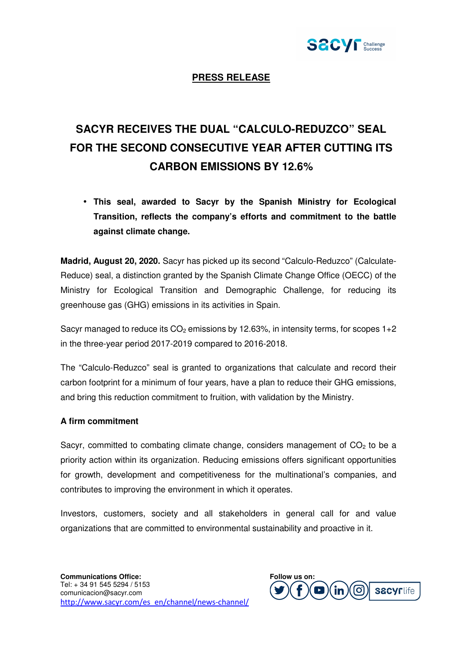

## **PRESS RELEASE**

## **SACYR RECEIVES THE DUAL "CALCULO-REDUZCO" SEAL FOR THE SECOND CONSECUTIVE YEAR AFTER CUTTING ITS CARBON EMISSIONS BY 12.6%**

• **This seal, awarded to Sacyr by the Spanish Ministry for Ecological Transition, reflects the company's efforts and commitment to the battle against climate change.** 

**Madrid, August 20, 2020.** Sacyr has picked up its second "Calculo-Reduzco" (Calculate-Reduce) seal, a distinction granted by the Spanish Climate Change Office (OECC) of the Ministry for Ecological Transition and Demographic Challenge, for reducing its greenhouse gas (GHG) emissions in its activities in Spain.

Sacyr managed to reduce its  $CO<sub>2</sub>$  emissions by 12.63%, in intensity terms, for scopes 1+2 in the three-year period 2017-2019 compared to 2016-2018.

The "Calculo-Reduzco" seal is granted to organizations that calculate and record their carbon footprint for a minimum of four years, have a plan to reduce their GHG emissions, and bring this reduction commitment to fruition, with validation by the Ministry.

## **A firm commitment**

Sacyr, committed to combating climate change, considers management of  $CO<sub>2</sub>$  to be a priority action within its organization. Reducing emissions offers significant opportunities for growth, development and competitiveness for the multinational's companies, and contributes to improving the environment in which it operates.

Investors, customers, society and all stakeholders in general call for and value organizations that are committed to environmental sustainability and proactive in it.